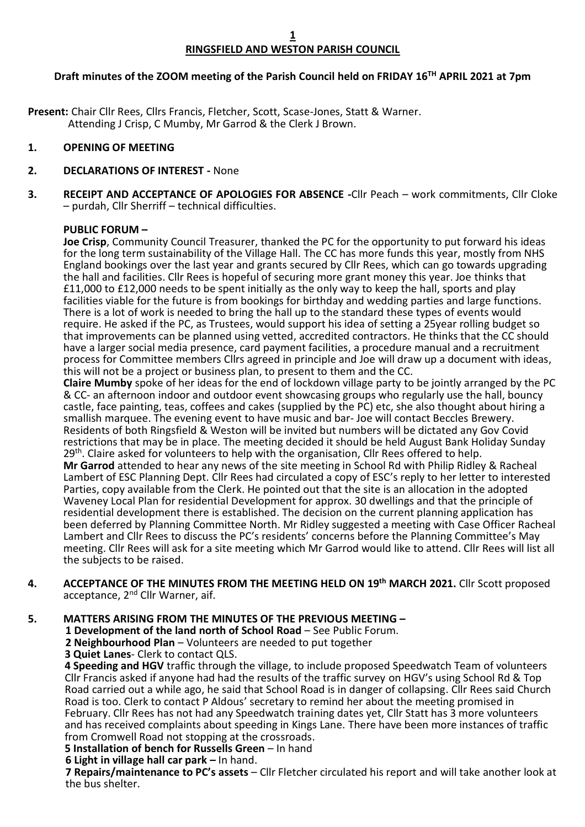# **RINGSFIELD AND WESTON PARISH COUNCIL**

# **Draft minutes of the ZOOM meeting of the Parish Council held on FRIDAY 16TH APRIL 2021 at 7pm**

**Present:** Chair Cllr Rees, Cllrs Francis, Fletcher, Scott, Scase-Jones, Statt & Warner. Attending J Crisp, C Mumby, Mr Garrod & the Clerk J Brown.

### **1. OPENING OF MEETING**

### **2. DECLARATIONS OF INTEREST -** None

**3. RECEIPT AND ACCEPTANCE OF APOLOGIES FOR ABSENCE -**Cllr Peach – work commitments, Cllr Cloke – purdah, Cllr Sherriff – technical difficulties.

### **PUBLIC FORUM –**

**Joe Crisp**, Community Council Treasurer, thanked the PC for the opportunity to put forward his ideas for the long term sustainability of the Village Hall. The CC has more funds this year, mostly from NHS England bookings over the last year and grants secured by Cllr Rees, which can go towards upgrading the hall and facilities. Cllr Rees is hopeful of securing more grant money this year. Joe thinks that £11,000 to £12,000 needs to be spent initially as the only way to keep the hall, sports and play facilities viable for the future is from bookings for birthday and wedding parties and large functions. There is a lot of work is needed to bring the hall up to the standard these types of events would require. He asked if the PC, as Trustees, would support his idea of setting a 25year rolling budget so that improvements can be planned using vetted, accredited contractors. He thinks that the CC should have a larger social media presence, card payment facilities, a procedure manual and a recruitment process for Committee members Cllrs agreed in principle and Joe will draw up a document with ideas, this will not be a project or business plan, to present to them and the CC.

**Claire Mumby** spoke of her ideas for the end of lockdown village party to be jointly arranged by the PC & CC- an afternoon indoor and outdoor event showcasing groups who regularly use the hall, bouncy castle, face painting, teas, coffees and cakes (supplied by the PC) etc, she also thought about hiring a smallish marquee. The evening event to have music and bar- Joe will contact Beccles Brewery. Residents of both Ringsfield & Weston will be invited but numbers will be dictated any Gov Covid restrictions that may be in place. The meeting decided it should be held August Bank Holiday Sunday 29<sup>th</sup>. Claire asked for volunteers to help with the organisation, Cllr Rees offered to help. **Mr Garrod** attended to hear any news of the site meeting in School Rd with Philip Ridley & Racheal Lambert of ESC Planning Dept. Cllr Rees had circulated a copy of ESC's reply to her letter to interested Parties, copy available from the Clerk. He pointed out that the site is an allocation in the adopted Waveney Local Plan for residential Development for approx. 30 dwellings and that the principle of residential development there is established. The decision on the current planning application has been deferred by Planning Committee North. Mr Ridley suggested a meeting with Case Officer Racheal Lambert and Cllr Rees to discuss the PC's residents' concerns before the Planning Committee's May meeting. Cllr Rees will ask for a site meeting which Mr Garrod would like to attend. Cllr Rees will list all the subjects to be raised.

**4. ACCEPTANCE OF THE MINUTES FROM THE MEETING HELD ON 19th MARCH 2021.** Cllr Scott proposed acceptance, 2<sup>nd</sup> Cllr Warner, aif.

**5. MATTERS ARISING FROM THE MINUTES OF THE PREVIOUS MEETING –**

 **1 Development of the land north of School Road** – See Public Forum.

 **2 Neighbourhood Plan** – Volunteers are needed to put together

**3 Quiet Lanes**- Clerk to contact QLS.

**4 Speeding and HGV** traffic through the village, to include proposed Speedwatch Team of volunteers Cllr Francis asked if anyone had had the results of the traffic survey on HGV's using School Rd & Top Road carried out a while ago, he said that School Road is in danger of collapsing. Cllr Rees said Church Road is too. Clerk to contact P Aldous' secretary to remind her about the meeting promised in February. Cllr Rees has not had any Speedwatch training dates yet, Cllr Statt has 3 more volunteers and has received complaints about speeding in Kings Lane. There have been more instances of traffic from Cromwell Road not stopping at the crossroads.

**5 Installation of bench for Russells Green** – In hand

### **6 Light in village hall car park –** In hand.

 **7 Repairs/maintenance to PC's assets** – Cllr Fletcher circulated his report and will take another look at the bus shelter.